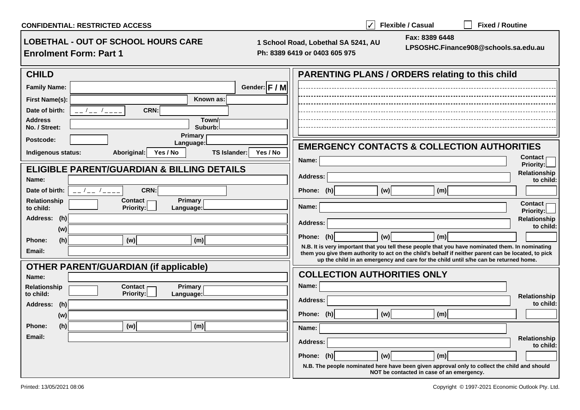| <b>CONFIDENTIAL: RESTRICTED ACCESS</b>                                                                | $\blacktriangle$<br><b>Flexible / Casual</b><br><b>Fixed / Routine</b>                                                                                                                      |
|-------------------------------------------------------------------------------------------------------|---------------------------------------------------------------------------------------------------------------------------------------------------------------------------------------------|
| <b>LOBETHAL - OUT OF SCHOOL HOURS CARE</b><br><b>Enrolment Form: Part 1</b>                           | Fax: 8389 6448<br>1 School Road, Lobethal SA 5241, AU<br>LPSOSHC.Finance908@schools.sa.edu.au<br>Ph: 8389 6419 or 0403 605 975                                                              |
| <b>CHILD</b>                                                                                          | <b>PARENTING PLANS / ORDERS relating to this child</b>                                                                                                                                      |
| Gender: F / M<br><b>Family Name:</b>                                                                  |                                                                                                                                                                                             |
| Known as:<br><b>First Name(s):</b>                                                                    |                                                                                                                                                                                             |
| Date of birth:<br>CRN:<br>$\frac{1}{2}$                                                               |                                                                                                                                                                                             |
| <b>Address</b><br>Town/<br>No. / Street:<br>Suburb:                                                   |                                                                                                                                                                                             |
| <b>Primary</b><br>Postcode:                                                                           |                                                                                                                                                                                             |
| Language:<br>Aboriginal:<br>Indigenous status:<br>Yes / No<br><b>TS Islander:</b><br>Yes / No         | <b>EMERGENCY CONTACTS &amp; COLLECTION AUTHORITIES</b>                                                                                                                                      |
|                                                                                                       | <b>Contact</b><br>Name:<br><b>Priority:</b>                                                                                                                                                 |
| <b>ELIGIBLE PARENT/GUARDIAN &amp; BILLING DETAILS</b>                                                 | Relationship<br><b>Address:</b>                                                                                                                                                             |
| Name:                                                                                                 | to child:                                                                                                                                                                                   |
| CRN:<br>Date of birth:<br>Relationship<br>Contact <sub>1</sub><br>Primary                             | Phone: (h)<br>(w) <br>(m)                                                                                                                                                                   |
| <b>Priority:</b><br>to child:<br>Language:                                                            | <b>Contact</b><br>Name:<br><b>Priority:</b>                                                                                                                                                 |
| Address: (h)                                                                                          | <b>Relationship</b><br><b>Address:</b>                                                                                                                                                      |
| (w)                                                                                                   | to child:<br>(w)<br>Phone: (h)<br>(m)                                                                                                                                                       |
| (h)<br>(w)<br>(m)<br>Phone:                                                                           | N.B. It is very important that you tell these people that you have nominated them. In nominating                                                                                            |
| Email:                                                                                                | them you give them authority to act on the child's behalf if neither parent can be located, to pick<br>up the child in an emergency and care for the child until s/he can be returned home. |
| <b>OTHER PARENT/GUARDIAN (if applicable)</b>                                                          |                                                                                                                                                                                             |
| Name:                                                                                                 | <b>COLLECTION AUTHORITIES ONLY</b>                                                                                                                                                          |
| <b>Relationship</b><br><b>Contact</b><br><b>Primary</b><br><b>Priority:</b><br>to child:<br>Language: | Name:<br>Relationship                                                                                                                                                                       |
| <b>Address:</b><br>(h)                                                                                | <b>Address:</b><br>to child:                                                                                                                                                                |
| (w)                                                                                                   | Phone: (h)<br>(w)<br>(m)                                                                                                                                                                    |
| Phone:<br>(h)<br>(w)<br>(m)                                                                           | Name:                                                                                                                                                                                       |
| Email:                                                                                                | Relationship<br><b>Address:</b>                                                                                                                                                             |
|                                                                                                       | to child:<br>Phone: (h)<br>(w)<br>(m)                                                                                                                                                       |
|                                                                                                       | N.B. The people nominated here have been given approval only to collect the child and should                                                                                                |
|                                                                                                       | NOT be contacted in case of an emergency.                                                                                                                                                   |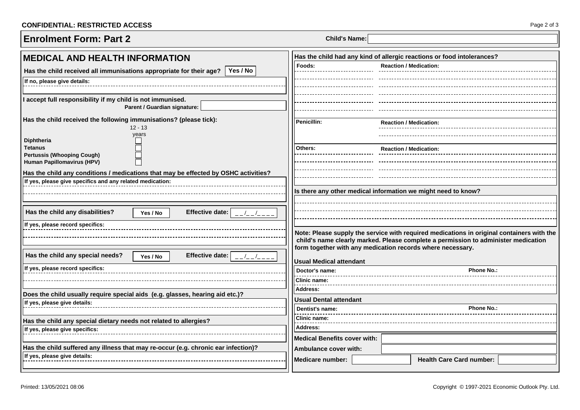## **CONFIDENTIAL: RESTRICTED ACCESS** Page 2 of 3

| <b>Enrolment Form: Part 2</b> | <b>Child's Name:</b> |
|-------------------------------|----------------------|
|                               |                      |

| <b>MEDICAL AND HEALTH INFORMATION</b>                                                                                                            | Has the child had any kind of allergic reactions or food intolerances? |                                                            |                                                                                                                                                                                 |
|--------------------------------------------------------------------------------------------------------------------------------------------------|------------------------------------------------------------------------|------------------------------------------------------------|---------------------------------------------------------------------------------------------------------------------------------------------------------------------------------|
| Yes / No<br>Has the child received all immunisations appropriate for their age?                                                                  | Foods:                                                                 | <b>Reaction / Medication:</b>                              |                                                                                                                                                                                 |
| If no, please give details:                                                                                                                      |                                                                        |                                                            |                                                                                                                                                                                 |
|                                                                                                                                                  |                                                                        |                                                            |                                                                                                                                                                                 |
| I accept full responsibility if my child is not immunised.<br>Parent / Guardian signature:                                                       |                                                                        |                                                            |                                                                                                                                                                                 |
| Has the child received the following immunisations? (please tick):<br>$12 - 13$                                                                  | Penicillin:                                                            | <b>Reaction / Medication:</b>                              |                                                                                                                                                                                 |
| years<br>Diphtheria                                                                                                                              |                                                                        |                                                            |                                                                                                                                                                                 |
| <b>Tetanus</b><br><b>Pertussis (Whooping Cough)</b>                                                                                              | Others:                                                                | <b>Reaction / Medication:</b>                              |                                                                                                                                                                                 |
| Human Papillomavirus (HPV)                                                                                                                       |                                                                        |                                                            |                                                                                                                                                                                 |
| Has the child any conditions / medications that may be effected by OSHC activities?<br>If yes, please give specifics and any related medication: |                                                                        |                                                            |                                                                                                                                                                                 |
|                                                                                                                                                  |                                                                        |                                                            | Is there any other medical information we might need to know?                                                                                                                   |
| Has the child any disabilities?<br><b>Effective date:</b><br>Yes / No                                                                            |                                                                        |                                                            |                                                                                                                                                                                 |
| If yes, please record specifics:                                                                                                                 |                                                                        |                                                            |                                                                                                                                                                                 |
|                                                                                                                                                  |                                                                        | form together with any medication records where necessary. | Note: Please supply the service with required medications in original containers with the<br>child's name clearly marked. Please complete a permission to administer medication |
| Has the child any special needs?<br><b>Effective date:</b><br>Yes / No                                                                           | <b>Usual Medical attendant</b>                                         |                                                            |                                                                                                                                                                                 |
| If yes, please record specifics:                                                                                                                 | Doctor's name:                                                         |                                                            | <b>Phone No.:</b>                                                                                                                                                               |
|                                                                                                                                                  | <b>Clinic name:</b><br><b>Address:</b>                                 |                                                            |                                                                                                                                                                                 |
| Does the child usually require special aids (e.g. glasses, hearing aid etc.)?                                                                    | Usual Dental attendant                                                 |                                                            |                                                                                                                                                                                 |
| If yes, please give details:                                                                                                                     | <b>Phone No.:</b><br>Dentist's name:                                   |                                                            |                                                                                                                                                                                 |
| Has the child any special dietary needs not related to allergies?                                                                                | <b>Clinic name:</b>                                                    |                                                            |                                                                                                                                                                                 |
| If yes, please give specifics:                                                                                                                   | <b>Address:</b>                                                        |                                                            |                                                                                                                                                                                 |
|                                                                                                                                                  | <b>Medical Benefits cover with:</b>                                    |                                                            |                                                                                                                                                                                 |
| Has the child suffered any illness that may re-occur (e.g. chronic ear infection)?                                                               | Ambulance cover with:                                                  |                                                            |                                                                                                                                                                                 |
| If yes, please give details:                                                                                                                     | <b>Medicare number:</b>                                                |                                                            | <b>Health Care Card number:</b>                                                                                                                                                 |